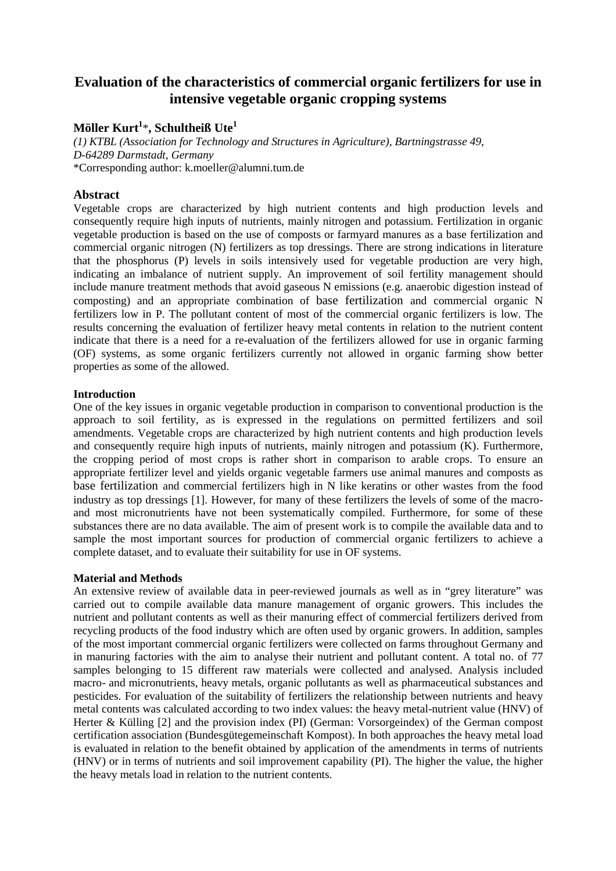# **Evaluation of the characteristics of commercial organic fertilizers for use in intensive vegetable organic cropping systems**

## **Möller Kurt<sup>1</sup>** \***, Schultheiß Ute<sup>1</sup>**

*(1) KTBL (Association for Technology and Structures in Agriculture), Bartningstrasse 49, D-64289 Darmstadt, Germany*  \*Corresponding author: k.moeller@alumni.tum.de

## **Abstract**

Vegetable crops are characterized by high nutrient contents and high production levels and consequently require high inputs of nutrients, mainly nitrogen and potassium. Fertilization in organic vegetable production is based on the use of composts or farmyard manures as a base fertilization and commercial organic nitrogen (N) fertilizers as top dressings. There are strong indications in literature that the phosphorus (P) levels in soils intensively used for vegetable production are very high, indicating an imbalance of nutrient supply. An improvement of soil fertility management should include manure treatment methods that avoid gaseous N emissions (e.g. anaerobic digestion instead of composting) and an appropriate combination of base fertilization and commercial organic N fertilizers low in P. The pollutant content of most of the commercial organic fertilizers is low. The results concerning the evaluation of fertilizer heavy metal contents in relation to the nutrient content indicate that there is a need for a re-evaluation of the fertilizers allowed for use in organic farming (OF) systems, as some organic fertilizers currently not allowed in organic farming show better properties as some of the allowed.

## **Introduction**

One of the key issues in organic vegetable production in comparison to conventional production is the approach to soil fertility, as is expressed in the regulations on permitted fertilizers and soil amendments. Vegetable crops are characterized by high nutrient contents and high production levels and consequently require high inputs of nutrients, mainly nitrogen and potassium (K). Furthermore, the cropping period of most crops is rather short in comparison to arable crops. To ensure an appropriate fertilizer level and yields organic vegetable farmers use animal manures and composts as base fertilization and commercial fertilizers high in N like keratins or other wastes from the food industry as top dressings [1]. However, for many of these fertilizers the levels of some of the macroand most micronutrients have not been systematically compiled. Furthermore, for some of these substances there are no data available. The aim of present work is to compile the available data and to sample the most important sources for production of commercial organic fertilizers to achieve a complete dataset, and to evaluate their suitability for use in OF systems.

## **Material and Methods**

An extensive review of available data in peer-reviewed journals as well as in "grey literature" was carried out to compile available data manure management of organic growers. This includes the nutrient and pollutant contents as well as their manuring effect of commercial fertilizers derived from recycling products of the food industry which are often used by organic growers. In addition, samples of the most important commercial organic fertilizers were collected on farms throughout Germany and in manuring factories with the aim to analyse their nutrient and pollutant content. A total no. of 77 samples belonging to 15 different raw materials were collected and analysed. Analysis included macro- and micronutrients, heavy metals, organic pollutants as well as pharmaceutical substances and pesticides. For evaluation of the suitability of fertilizers the relationship between nutrients and heavy metal contents was calculated according to two index values: the heavy metal-nutrient value (HNV) of Herter & Külling [2] and the provision index (PI) (German: Vorsorgeindex) of the German compost certification association (Bundesgütegemeinschaft Kompost). In both approaches the heavy metal load is evaluated in relation to the benefit obtained by application of the amendments in terms of nutrients (HNV) or in terms of nutrients and soil improvement capability (PI). The higher the value, the higher the heavy metals load in relation to the nutrient contents.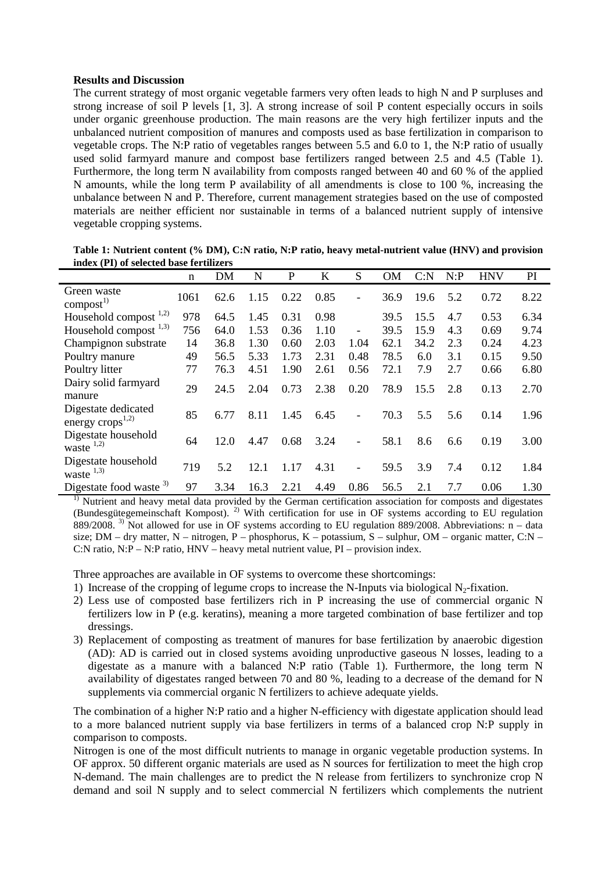## **Results and Discussion**

The current strategy of most organic vegetable farmers very often leads to high N and P surpluses and strong increase of soil P levels [1, 3]. A strong increase of soil P content especially occurs in soils under organic greenhouse production. The main reasons are the very high fertilizer inputs and the unbalanced nutrient composition of manures and composts used as base fertilization in comparison to vegetable crops. The N:P ratio of vegetables ranges between 5.5 and 6.0 to 1, the N:P ratio of usually used solid farmyard manure and compost base fertilizers ranged between 2.5 and 4.5 (Table 1). Furthermore, the long term N availability from composts ranged between 40 and 60 % of the applied N amounts, while the long term P availability of all amendments is close to 100 %, increasing the unbalance between N and P. Therefore, current management strategies based on the use of composted materials are neither efficient nor sustainable in terms of a balanced nutrient supply of intensive vegetable cropping systems.

| muca (1 1) of sciecticu dasc ici unizers     |      |      |      |      |      |                          |           |      |      |            |      |
|----------------------------------------------|------|------|------|------|------|--------------------------|-----------|------|------|------------|------|
|                                              | n    | DM   | N    | P    | K    | S                        | <b>OM</b> | C: N | N: P | <b>HNV</b> | PI   |
| Green waste<br>$\text{compact}^{1}$          | 1061 | 62.6 | 1.15 | 0.22 | 0.85 | $\overline{\phantom{0}}$ | 36.9      | 19.6 | 5.2  | 0.72       | 8.22 |
| Household compost $1,2$ )                    | 978  | 64.5 | 1.45 | 0.31 | 0.98 |                          | 39.5      | 15.5 | 4.7  | 0.53       | 6.34 |
| Household compost $^{1,3)}$                  | 756  | 64.0 | 1.53 | 0.36 | 1.10 | $\overline{a}$           | 39.5      | 15.9 | 4.3  | 0.69       | 9.74 |
| Champignon substrate                         | 14   | 36.8 | 1.30 | 0.60 | 2.03 | 1.04                     | 62.1      | 34.2 | 2.3  | 0.24       | 4.23 |
| Poultry manure                               | 49   | 56.5 | 5.33 | 1.73 | 2.31 | 0.48                     | 78.5      | 6.0  | 3.1  | 0.15       | 9.50 |
| Poultry litter                               | 77   | 76.3 | 4.51 | 1.90 | 2.61 | 0.56                     | 72.1      | 7.9  | 2.7  | 0.66       | 6.80 |
| Dairy solid farmyard<br>manure               | 29   | 24.5 | 2.04 | 0.73 | 2.38 | 0.20                     | 78.9      | 15.5 | 2.8  | 0.13       | 2.70 |
| Digestate dedicated<br>energy $crops^{1,2)}$ | 85   | 6.77 | 8.11 | 1.45 | 6.45 | $\overline{\phantom{0}}$ | 70.3      | 5.5  | 5.6  | 0.14       | 1.96 |
| Digestate household<br>waste $^{1,2)}$       | 64   | 12.0 | 4.47 | 0.68 | 3.24 | $\overline{a}$           | 58.1      | 8.6  | 6.6  | 0.19       | 3.00 |
| Digestate household<br>waste $^{1,3)}$       | 719  | 5.2  | 12.1 | 1.17 | 4.31 | $\overline{a}$           | 59.5      | 3.9  | 7.4  | 0.12       | 1.84 |
| Digestate food waste <sup>3)</sup>           | 97   | 3.34 | 16.3 | 2.21 | 4.49 | 0.86                     | 56.5      | 2.1  | 7.7  | 0.06       | 1.30 |

**Table 1: Nutrient content (% DM), C:N ratio, N:P ratio, heavy metal-nutrient value (HNV) and provision index (PI) of selected base fertilizers** 

<sup>1)</sup> Nutrient and heavy metal data provided by the German certification association for composts and digestates (Bundesgütegemeinschaft Kompost). 2) With certification for use in OF systems according to EU regulation 889/2008. <sup>3)</sup> Not allowed for use in OF systems according to EU regulation 889/2008. Abbreviations:  $n - data$ size; DM – dry matter, N – nitrogen, P – phosphorus, K – potassium, S – sulphur, OM – organic matter, C:N – C:N ratio, N:P – N:P ratio, HNV – heavy metal nutrient value, PI – provision index.

Three approaches are available in OF systems to overcome these shortcomings:

- 1) Increase of the cropping of legume crops to increase the N-Inputs via biological N<sub>2</sub>-fixation.
- 2) Less use of composted base fertilizers rich in P increasing the use of commercial organic N fertilizers low in P (e.g. keratins), meaning a more targeted combination of base fertilizer and top dressings.
- 3) Replacement of composting as treatment of manures for base fertilization by anaerobic digestion (AD): AD is carried out in closed systems avoiding unproductive gaseous N losses, leading to a digestate as a manure with a balanced N:P ratio (Table 1). Furthermore, the long term N availability of digestates ranged between 70 and 80 %, leading to a decrease of the demand for N supplements via commercial organic N fertilizers to achieve adequate yields.

The combination of a higher N:P ratio and a higher N-efficiency with digestate application should lead to a more balanced nutrient supply via base fertilizers in terms of a balanced crop N:P supply in comparison to composts.

Nitrogen is one of the most difficult nutrients to manage in organic vegetable production systems. In OF approx. 50 different organic materials are used as N sources for fertilization to meet the high crop N-demand. The main challenges are to predict the N release from fertilizers to synchronize crop N demand and soil N supply and to select commercial N fertilizers which complements the nutrient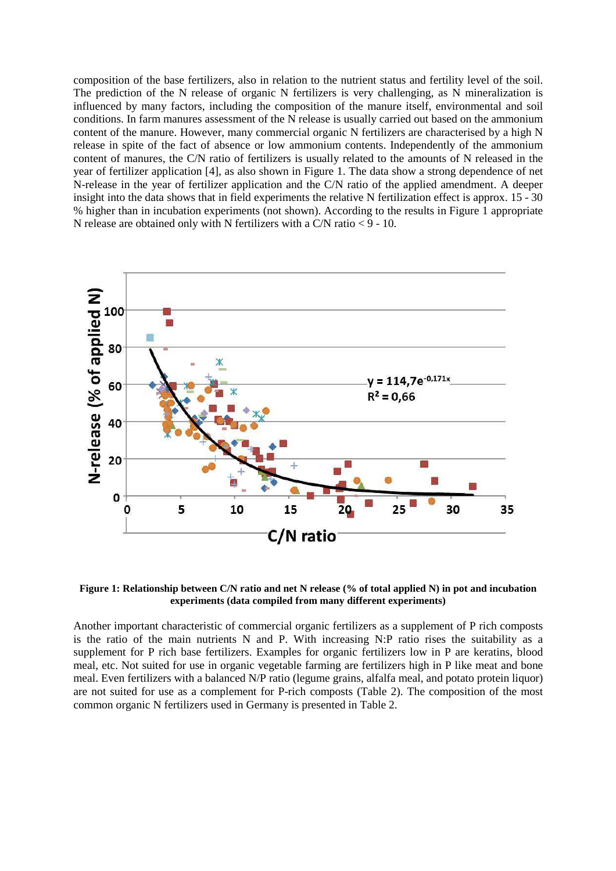composition of the base fertilizers, also in relation to the nutrient status and fertility level of the soil. The prediction of the N release of organic N fertilizers is very challenging, as N mineralization is influenced by many factors, including the composition of the manure itself, environmental and soil conditions. In farm manures assessment of the N release is usually carried out based on the ammonium content of the manure. However, many commercial organic N fertilizers are characterised by a high N release in spite of the fact of absence or low ammonium contents. Independently of the ammonium content of manures, the C/N ratio of fertilizers is usually related to the amounts of N released in the year of fertilizer application [4], as also shown in Figure 1. The data show a strong dependence of net N-release in the year of fertilizer application and the C/N ratio of the applied amendment. A deeper insight into the data shows that in field experiments the relative N fertilization effect is approx. 15 - 30 % higher than in incubation experiments (not shown). According to the results in Figure 1 appropriate N release are obtained only with N fertilizers with a C/N ratio  $\leq$  9 - 10.



**Figure 1: Relationship between C/N ratio and net N release (% of total applied N) in pot and incubation experiments (data compiled from many different experiments)** 

Another important characteristic of commercial organic fertilizers as a supplement of P rich composts is the ratio of the main nutrients N and P. With increasing N:P ratio rises the suitability as a supplement for P rich base fertilizers. Examples for organic fertilizers low in P are keratins, blood meal, etc. Not suited for use in organic vegetable farming are fertilizers high in P like meat and bone meal. Even fertilizers with a balanced N/P ratio (legume grains, alfalfa meal, and potato protein liquor) are not suited for use as a complement for P-rich composts (Table 2). The composition of the most common organic N fertilizers used in Germany is presented in Table 2.